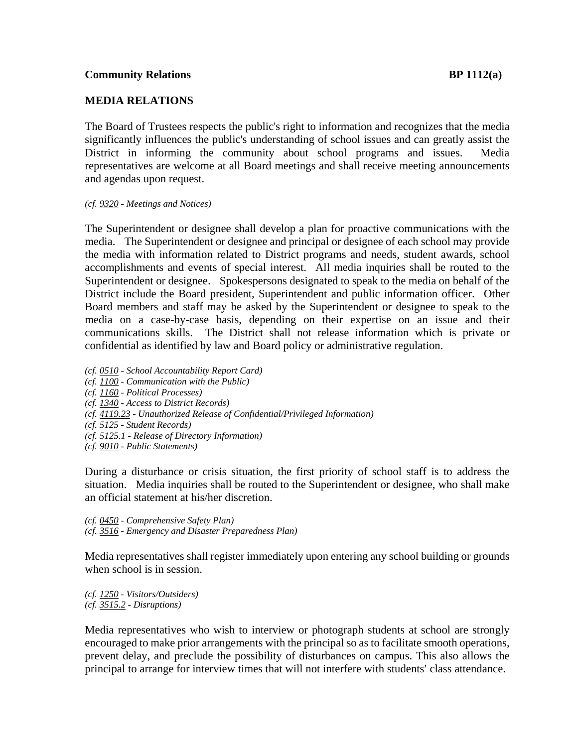## **MEDIA RELATIONS**

The Board of Trustees respects the public's right to information and recognizes that the media significantly influences the public's understanding of school issues and can greatly assist the District in informing the community about school programs and issues. Media representatives are welcome at all Board meetings and shall receive meeting announcements and agendas upon request.

*(cf. 9320 - Meetings and Notices)* 

The Superintendent or designee shall develop a plan for proactive communications with the media. The Superintendent or designee and principal or designee of each school may provide the media with information related to District programs and needs, student awards, school accomplishments and events of special interest. All media inquiries shall be routed to the Superintendent or designee. Spokespersons designated to speak to the media on behalf of the District include the Board president, Superintendent and public information officer. Other Board members and staff may be asked by the Superintendent or designee to speak to the media on a case-by-case basis, depending on their expertise on an issue and their communications skills. The District shall not release information which is private or confidential as identified by law and Board policy or administrative regulation.

- *(cf. 0510 School Accountability Report Card)*
- *(cf. 1100 Communication with the Public)*
- *(cf. 1160 Political Processes)*
- *(cf. 1340 Access to District Records)*
- *(cf. 4119.23 Unauthorized Release of Confidential/Privileged Information)*
- *(cf. 5125 Student Records)*
- *(cf. 5125.1 Release of Directory Information)*
- *(cf. 9010 Public Statements)*

During a disturbance or crisis situation, the first priority of school staff is to address the situation. Media inquiries shall be routed to the Superintendent or designee, who shall make an official statement at his/her discretion.

*(cf. 0450 - Comprehensive Safety Plan) (cf. 3516 - Emergency and Disaster Preparedness Plan)*

Media representatives shall register immediately upon entering any school building or grounds when school is in session.

*(cf. 1250 - Visitors/Outsiders) (cf. 3515.2 - Disruptions)* 

Media representatives who wish to interview or photograph students at school are strongly encouraged to make prior arrangements with the principal so as to facilitate smooth operations, prevent delay, and preclude the possibility of disturbances on campus. This also allows the principal to arrange for interview times that will not interfere with students' class attendance.